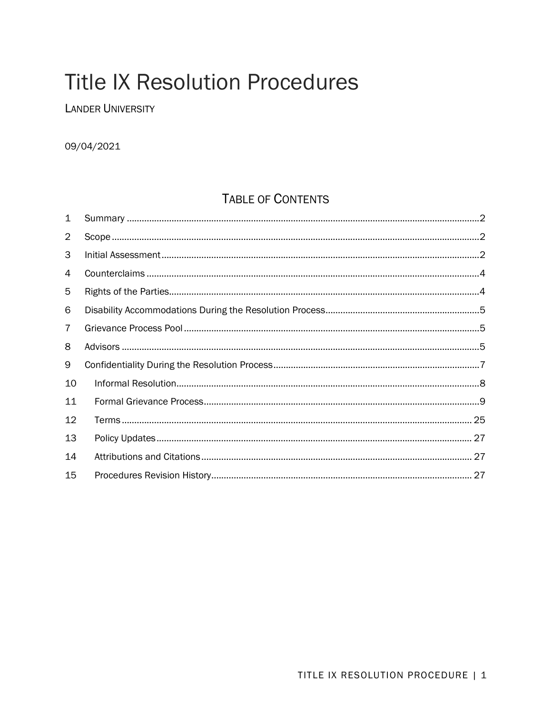# **Title IX Resolution Procedures**

**LANDER UNIVERSITY** 

09/04/2021

# **TABLE OF CONTENTS**

| 1              |  |
|----------------|--|
| 2              |  |
| 3              |  |
| 4              |  |
| 5              |  |
| 6              |  |
| $\overline{7}$ |  |
| 8              |  |
| 9              |  |
| 10             |  |
| 11             |  |
| 12             |  |
| 13             |  |
| 14             |  |
| 15             |  |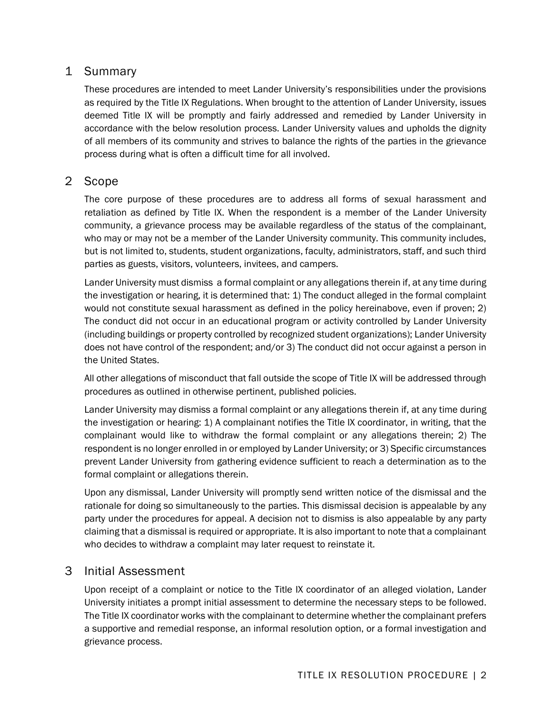# 1 Summary

These procedures are intended to meet Lander University's responsibilities under the provisions as required by the Title IX Regulations. When brought to the attention of Lander University, issues deemed Title IX will be promptly and fairly addressed and remedied by Lander University in accordance with the below resolution process. Lander University values and upholds the dignity of all members of its community and strives to balance the rights of the parties in the grievance process during what is often a difficult time for all involved.

# 2 Scope

The core purpose of these procedures are to address all forms of sexual harassment and retaliation as defined by Title IX. When the respondent is a member of the Lander University community, a grievance process may be available regardless of the status of the complainant, who may or may not be a member of the Lander University community. This community includes, but is not limited to, students, student organizations, faculty, administrators, staff, and such third parties as guests, visitors, volunteers, invitees, and campers.

Lander University must dismiss a formal complaint or any allegations therein if, at any time during the investigation or hearing, it is determined that: 1) The conduct alleged in the formal complaint would not constitute sexual harassment as defined in the policy hereinabove, even if proven; 2) The conduct did not occur in an educational program or activity controlled by Lander University (including buildings or property controlled by recognized student organizations); Lander University does not have control of the respondent; and/or 3) The conduct did not occur against a person in the United States.

All other allegations of misconduct that fall outside the scope of Title IX will be addressed through procedures as outlined in otherwise pertinent, published policies.

Lander University may dismiss a formal complaint or any allegations therein if, at any time during the investigation or hearing: 1) A complainant notifies the Title IX coordinator, in writing, that the complainant would like to withdraw the formal complaint or any allegations therein; 2) The respondent is no longer enrolled in or employed by Lander University; or 3) Specific circumstances prevent Lander University from gathering evidence sufficient to reach a determination as to the formal complaint or allegations therein.

Upon any dismissal, Lander University will promptly send written notice of the dismissal and the rationale for doing so simultaneously to the parties. This dismissal decision is appealable by any party under the procedures for appeal. A decision not to dismiss is also appealable by any party claiming that a dismissal is required or appropriate. It is also important to note that a complainant who decides to withdraw a complaint may later request to reinstate it.

# 3 Initial Assessment

Upon receipt of a complaint or notice to the Title IX coordinator of an alleged violation, Lander University initiates a prompt initial assessment to determine the necessary steps to be followed. The Title IX coordinator works with the complainant to determine whether the complainant prefers a supportive and remedial response, an informal resolution option, or a formal investigation and grievance process.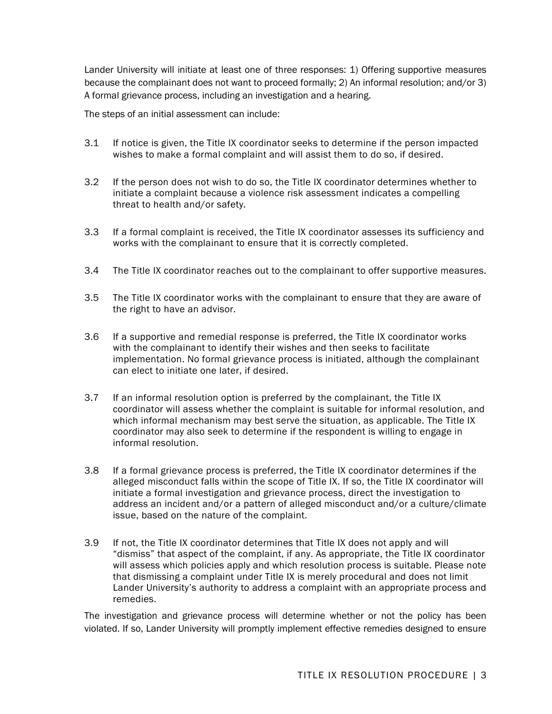Lander University will initiate at least one of three responses: 1) Offering supportive measures because the complainant does not want to proceed formally; 2) An informal resolution; and/or 3) A formal grievance process, including an investigation and a hearing.

The steps of an initial assessment can include:

- 3.1 If notice is given, the Title IX coordinator seeks to determine if the person impacted wishes to make a formal complaint and will assist them to do so, if desired.
- 3.2 If the person does not wish to do so, the Title IX coordinator determines whether to initiate a complaint because a violence risk assessment indicates a compelling threat to health and/or safety.
- 3.3 If a formal complaint is received, the Title IX coordinator assesses its sufficiency and works with the complainant to ensure that it is correctly completed.
- 3.4 The Title IX coordinator reaches out to the complainant to offer supportive measures.
- 3.5 The Title IX coordinator works with the complainant to ensure that they are aware of the right to have an advisor.
- 3.6 If a supportive and remedial response is preferred, the Title IX coordinator works with the complainant to identify their wishes and then seeks to facilitate implementation. No formal grievance process is initiated, although the complainant can elect to initiate one later, if desired.
- 3.7 If an informal resolution option is preferred by the complainant, the Title IX coordinator will assess whether the complaint is suitable for informal resolution, and which informal mechanism may best serve the situation, as applicable. The Title IX coordinator may also seek to determine if the respondent is willing to engage in informal resolution.
- 3.8 If a formal grievance process is preferred, the Title IX coordinator determines if the alleged misconduct falls within the scope of Title IX. If so, the Title IX coordinator will initiate a formal investigation and grievance process, direct the investigation to address an incident and/or a pattern of alleged misconduct and/or a culture/climate issue, based on the nature of the complaint.
- 3.9 If not, the Title IX coordinator determines that Title IX does not apply and will "dismiss" that aspect of the complaint, if any. As appropriate, the Title IX coordinator will assess which policies apply and which resolution process is suitable. Please note that dismissing a complaint under Title IX is merely procedural and does not limit Lander University's authority to address a complaint with an appropriate process and remedies.

The investigation and grievance process will determine whether or not the policy has been violated. If so, Lander University will promptly implement effective remedies designed to ensure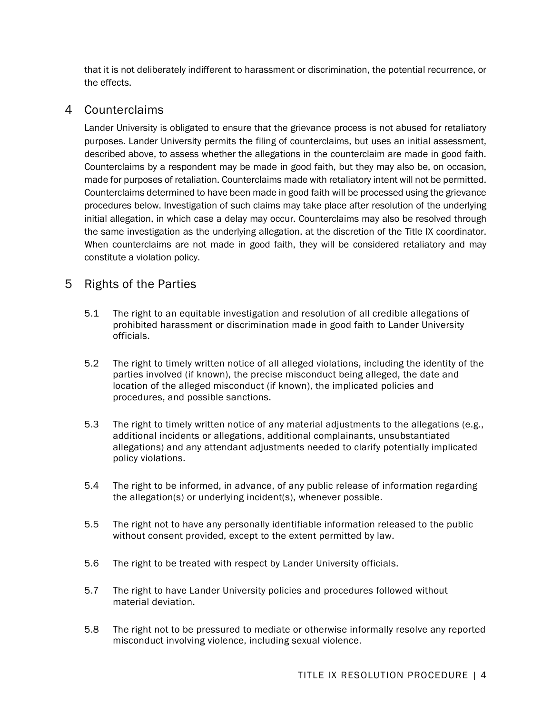that it is not deliberately indifferent to harassment or discrimination, the potential recurrence, or the effects.

# 4 Counterclaims

Lander University is obligated to ensure that the grievance process is not abused for retaliatory purposes. Lander University permits the filing of counterclaims, but uses an initial assessment, described above, to assess whether the allegations in the counterclaim are made in good faith. Counterclaims by a respondent may be made in good faith, but they may also be, on occasion, made for purposes of retaliation. Counterclaims made with retaliatory intent will not be permitted. Counterclaims determined to have been made in good faith will be processed using the grievance procedures below. Investigation of such claims may take place after resolution of the underlying initial allegation, in which case a delay may occur. Counterclaims may also be resolved through the same investigation as the underlying allegation, at the discretion of the Title IX coordinator. When counterclaims are not made in good faith, they will be considered retaliatory and may constitute a violation policy.

# 5 Rights of the Parties

- 5.1 The right to an equitable investigation and resolution of all credible allegations of prohibited harassment or discrimination made in good faith to Lander University officials.
- 5.2 The right to timely written notice of all alleged violations, including the identity of the parties involved (if known), the precise misconduct being alleged, the date and location of the alleged misconduct (if known), the implicated policies and procedures, and possible sanctions.
- 5.3 The right to timely written notice of any material adjustments to the allegations (e.g., additional incidents or allegations, additional complainants, unsubstantiated allegations) and any attendant adjustments needed to clarify potentially implicated policy violations.
- 5.4 The right to be informed, in advance, of any public release of information regarding the allegation(s) or underlying incident(s), whenever possible.
- 5.5 The right not to have any personally identifiable information released to the public without consent provided, except to the extent permitted by law.
- 5.6 The right to be treated with respect by Lander University officials.
- 5.7 The right to have Lander University policies and procedures followed without material deviation.
- 5.8 The right not to be pressured to mediate or otherwise informally resolve any reported misconduct involving violence, including sexual violence.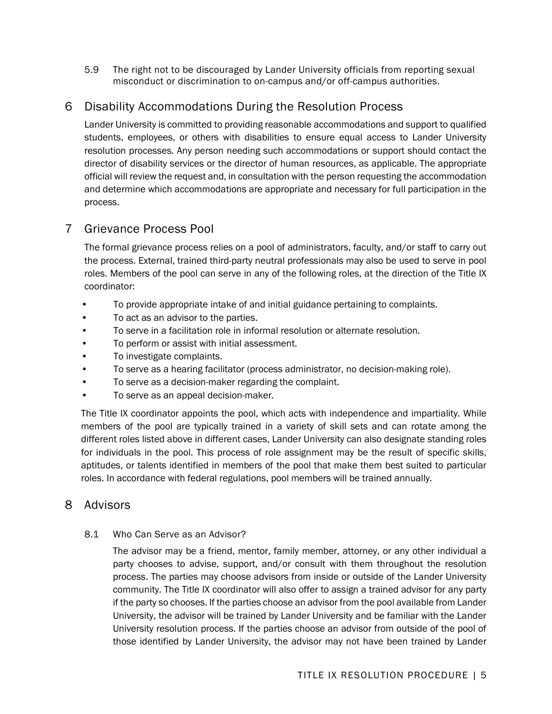5.9 The right not to be discouraged by Lander University officials from reporting sexual misconduct or discrimination to on-campus and/or off-campus authorities.

# 6 Disability Accommodations During the Resolution Process

Lander University is committed to providing reasonable accommodations and support to qualified students, employees, or others with disabilities to ensure equal access to Lander University resolution processes. Any person needing such accommodations or support should contact the director of disability services or the director of human resources, as applicable. The appropriate official will review the request and, in consultation with the person requesting the accommodation and determine which accommodations are appropriate and necessary for full participation in the process.

# 7 Grievance Process Pool

The formal grievance process relies on a pool of administrators, faculty, and/or staff to carry out the process. External, trained third-party neutral professionals may also be used to serve in pool roles. Members of the pool can serve in any of the following roles, at the direction of the Title IX coordinator:

- To provide appropriate intake of and initial guidance pertaining to complaints.
- To act as an advisor to the parties.
- To serve in a facilitation role in informal resolution or alternate resolution.
- To perform or assist with initial assessment.
- To investigate complaints.
- To serve as a hearing facilitator (process administrator, no decision-making role).
- To serve as a decision-maker regarding the complaint.
- To serve as an appeal decision-maker.

The Title IX coordinator appoints the pool, which acts with independence and impartiality. While members of the pool are typically trained in a variety of skill sets and can rotate among the different roles listed above in different cases, Lander University can also designate standing roles for individuals in the pool. This process of role assignment may be the result of specific skills, aptitudes, or talents identified in members of the pool that make them best suited to particular roles. In accordance with federal regulations, pool members will be trained annually.

# 8 Advisors

## 8.1 Who Can Serve as an Advisor?

The advisor may be a friend, mentor, family member, attorney, or any other individual a party chooses to advise, support, and/or consult with them throughout the resolution process. The parties may choose advisors from inside or outside of the Lander University community. The Title IX coordinator will also offer to assign a trained advisor for any party if the party so chooses. If the parties choose an advisor from the pool available from Lander University, the advisor will be trained by Lander University and be familiar with the Lander University resolution process. If the parties choose an advisor from outside of the pool of those identified by Lander University, the advisor may not have been trained by Lander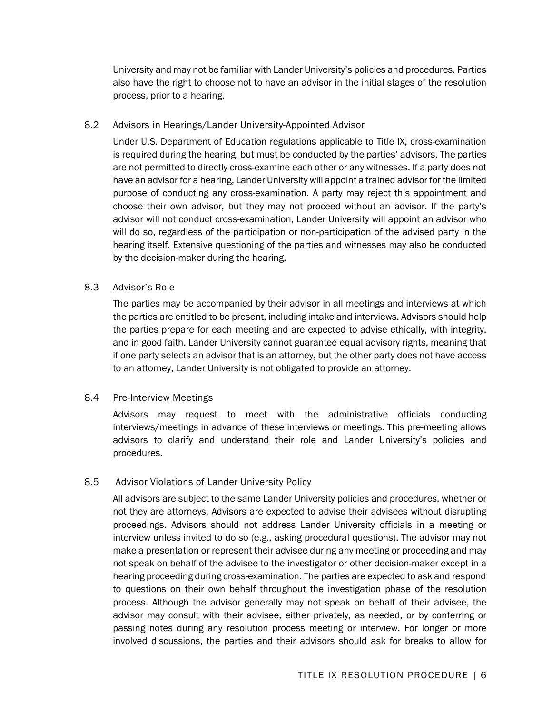University and may not be familiar with Lander University's policies and procedures. Parties also have the right to choose not to have an advisor in the initial stages of the resolution process, prior to a hearing.

#### 8.2 Advisors in Hearings/Lander University-Appointed Advisor

Under U.S. Department of Education regulations applicable to Title IX, cross-examination is required during the hearing, but must be conducted by the parties' advisors. The parties are not permitted to directly cross-examine each other or any witnesses. If a party does not have an advisor for a hearing, Lander University will appoint a trained advisor for the limited purpose of conducting any cross-examination. A party may reject this appointment and choose their own advisor, but they may not proceed without an advisor. If the party's advisor will not conduct cross-examination, Lander University will appoint an advisor who will do so, regardless of the participation or non-participation of the advised party in the hearing itself. Extensive questioning of the parties and witnesses may also be conducted by the decision-maker during the hearing.

#### 8.3 Advisor's Role

The parties may be accompanied by their advisor in all meetings and interviews at which the parties are entitled to be present, including intake and interviews. Advisors should help the parties prepare for each meeting and are expected to advise ethically, with integrity, and in good faith. Lander University cannot guarantee equal advisory rights, meaning that if one party selects an advisor that is an attorney, but the other party does not have access to an attorney, Lander University is not obligated to provide an attorney.

## 8.4 Pre-Interview Meetings

Advisors may request to meet with the administrative officials conducting interviews/meetings in advance of these interviews or meetings. This pre-meeting allows advisors to clarify and understand their role and Lander University's policies and procedures.

## 8.5 Advisor Violations of Lander University Policy

All advisors are subject to the same Lander University policies and procedures, whether or not they are attorneys. Advisors are expected to advise their advisees without disrupting proceedings. Advisors should not address Lander University officials in a meeting or interview unless invited to do so (e.g., asking procedural questions). The advisor may not make a presentation or represent their advisee during any meeting or proceeding and may not speak on behalf of the advisee to the investigator or other decision-maker except in a hearing proceeding during cross-examination. The parties are expected to ask and respond to questions on their own behalf throughout the investigation phase of the resolution process. Although the advisor generally may not speak on behalf of their advisee, the advisor may consult with their advisee, either privately, as needed, or by conferring or passing notes during any resolution process meeting or interview. For longer or more involved discussions, the parties and their advisors should ask for breaks to allow for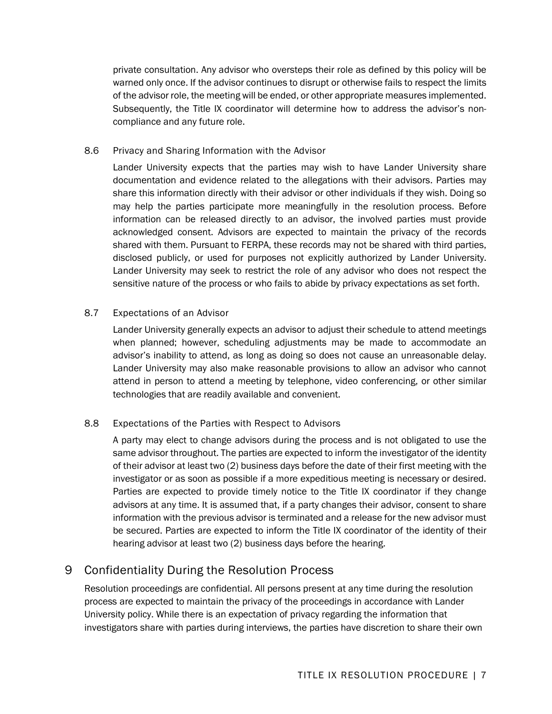private consultation. Any advisor who oversteps their role as defined by this policy will be warned only once. If the advisor continues to disrupt or otherwise fails to respect the limits of the advisor role, the meeting will be ended, or other appropriate measures implemented. Subsequently, the Title IX coordinator will determine how to address the advisor's noncompliance and any future role.

## 8.6 Privacy and Sharing Information with the Advisor

Lander University expects that the parties may wish to have Lander University share documentation and evidence related to the allegations with their advisors. Parties may share this information directly with their advisor or other individuals if they wish. Doing so may help the parties participate more meaningfully in the resolution process. Before information can be released directly to an advisor, the involved parties must provide acknowledged consent. Advisors are expected to maintain the privacy of the records shared with them. Pursuant to FERPA, these records may not be shared with third parties, disclosed publicly, or used for purposes not explicitly authorized by Lander University. Lander University may seek to restrict the role of any advisor who does not respect the sensitive nature of the process or who fails to abide by privacy expectations as set forth.

## 8.7 Expectations of an Advisor

Lander University generally expects an advisor to adjust their schedule to attend meetings when planned; however, scheduling adjustments may be made to accommodate an advisor's inability to attend, as long as doing so does not cause an unreasonable delay. Lander University may also make reasonable provisions to allow an advisor who cannot attend in person to attend a meeting by telephone, video conferencing, or other similar technologies that are readily available and convenient.

## 8.8 Expectations of the Parties with Respect to Advisors

A party may elect to change advisors during the process and is not obligated to use the same advisor throughout. The parties are expected to inform the investigator of the identity of their advisor at least two (2) business days before the date of their first meeting with the investigator or as soon as possible if a more expeditious meeting is necessary or desired. Parties are expected to provide timely notice to the Title IX coordinator if they change advisors at any time. It is assumed that, if a party changes their advisor, consent to share information with the previous advisor is terminated and a release for the new advisor must be secured. Parties are expected to inform the Title IX coordinator of the identity of their hearing advisor at least two (2) business days before the hearing.

# 9 Confidentiality During the Resolution Process

Resolution proceedings are confidential. All persons present at any time during the resolution process are expected to maintain the privacy of the proceedings in accordance with Lander University policy. While there is an expectation of privacy regarding the information that investigators share with parties during interviews, the parties have discretion to share their own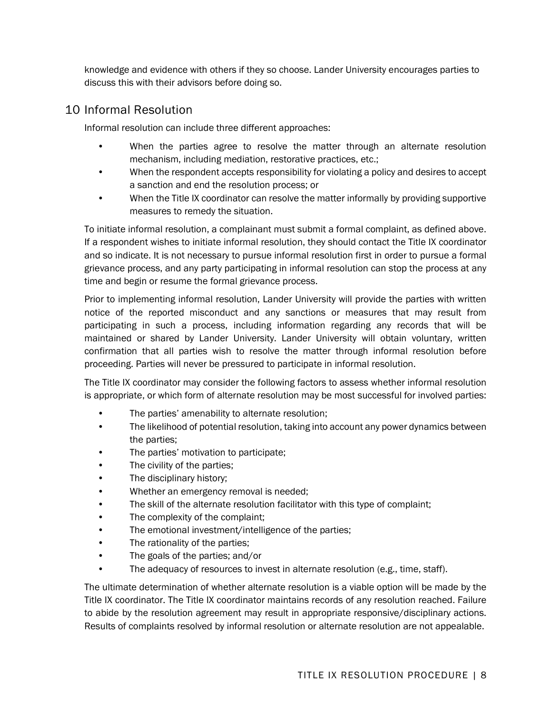knowledge and evidence with others if they so choose. Lander University encourages parties to discuss this with their advisors before doing so.

# 10 Informal Resolution

Informal resolution can include three different approaches:

- When the parties agree to resolve the matter through an alternate resolution mechanism, including mediation, restorative practices, etc.;
- When the respondent accepts responsibility for violating a policy and desires to accept a sanction and end the resolution process; or
- When the Title IX coordinator can resolve the matter informally by providing supportive measures to remedy the situation.

To initiate informal resolution, a complainant must submit a formal complaint, as defined above. If a respondent wishes to initiate informal resolution, they should contact the Title IX coordinator and so indicate. It is not necessary to pursue informal resolution first in order to pursue a formal grievance process, and any party participating in informal resolution can stop the process at any time and begin or resume the formal grievance process.

Prior to implementing informal resolution, Lander University will provide the parties with written notice of the reported misconduct and any sanctions or measures that may result from participating in such a process, including information regarding any records that will be maintained or shared by Lander University. Lander University will obtain voluntary, written confirmation that all parties wish to resolve the matter through informal resolution before proceeding. Parties will never be pressured to participate in informal resolution.

The Title IX coordinator may consider the following factors to assess whether informal resolution is appropriate, or which form of alternate resolution may be most successful for involved parties:

- The parties' amenability to alternate resolution;
- The likelihood of potential resolution, taking into account any power dynamics between the parties;
- The parties' motivation to participate;
- The civility of the parties;
- The disciplinary history;
- Whether an emergency removal is needed;
- The skill of the alternate resolution facilitator with this type of complaint;
- The complexity of the complaint;
- The emotional investment/intelligence of the parties;
- The rationality of the parties;
- The goals of the parties; and/or
- The adequacy of resources to invest in alternate resolution (e.g., time, staff).

The ultimate determination of whether alternate resolution is a viable option will be made by the Title IX coordinator. The Title IX coordinator maintains records of any resolution reached. Failure to abide by the resolution agreement may result in appropriate responsive/disciplinary actions. Results of complaints resolved by informal resolution or alternate resolution are not appealable.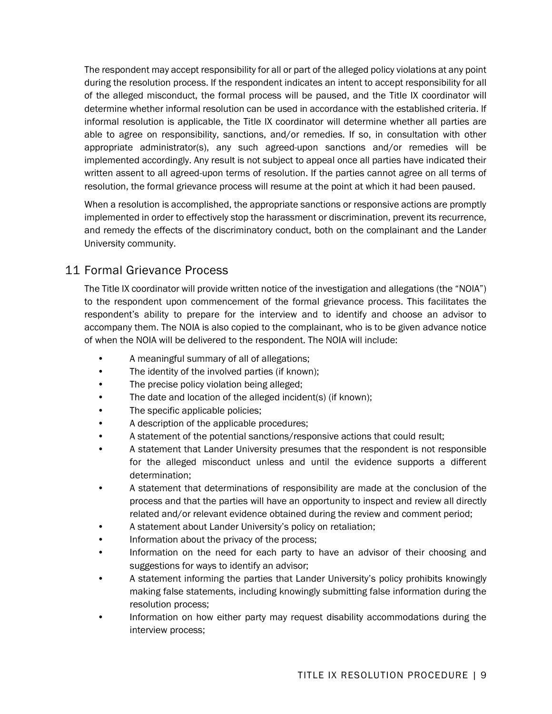The respondent may accept responsibility for all or part of the alleged policy violations at any point during the resolution process. If the respondent indicates an intent to accept responsibility for all of the alleged misconduct, the formal process will be paused, and the Title IX coordinator will determine whether informal resolution can be used in accordance with the established criteria. If informal resolution is applicable, the Title IX coordinator will determine whether all parties are able to agree on responsibility, sanctions, and/or remedies. If so, in consultation with other appropriate administrator(s), any such agreed-upon sanctions and/or remedies will be implemented accordingly. Any result is not subject to appeal once all parties have indicated their written assent to all agreed-upon terms of resolution. If the parties cannot agree on all terms of resolution, the formal grievance process will resume at the point at which it had been paused.

When a resolution is accomplished, the appropriate sanctions or responsive actions are promptly implemented in order to effectively stop the harassment or discrimination, prevent its recurrence, and remedy the effects of the discriminatory conduct, both on the complainant and the Lander University community.

# 11 Formal Grievance Process

The Title IX coordinator will provide written notice of the investigation and allegations (the "NOIA") to the respondent upon commencement of the formal grievance process. This facilitates the respondent's ability to prepare for the interview and to identify and choose an advisor to accompany them. The NOIA is also copied to the complainant, who is to be given advance notice of when the NOIA will be delivered to the respondent. The NOIA will include:

- A meaningful summary of all of allegations;
- The identity of the involved parties (if known);
- The precise policy violation being alleged;
- The date and location of the alleged incident(s) (if known);
- The specific applicable policies;
- A description of the applicable procedures;
- A statement of the potential sanctions/responsive actions that could result;
- A statement that Lander University presumes that the respondent is not responsible for the alleged misconduct unless and until the evidence supports a different determination;
- A statement that determinations of responsibility are made at the conclusion of the process and that the parties will have an opportunity to inspect and review all directly related and/or relevant evidence obtained during the review and comment period;
- A statement about Lander University's policy on retaliation;
- Information about the privacy of the process;
- Information on the need for each party to have an advisor of their choosing and suggestions for ways to identify an advisor;
- A statement informing the parties that Lander University's policy prohibits knowingly making false statements, including knowingly submitting false information during the resolution process;
- Information on how either party may request disability accommodations during the interview process;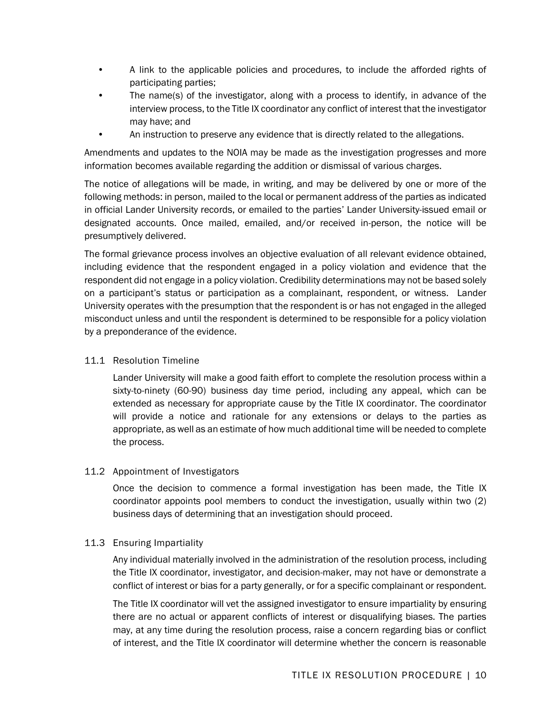- A link to the applicable policies and procedures, to include the afforded rights of participating parties;
- The name(s) of the investigator, along with a process to identify, in advance of the interview process, to the Title IX coordinator any conflict of interest that the investigator may have; and
- An instruction to preserve any evidence that is directly related to the allegations.

Amendments and updates to the NOIA may be made as the investigation progresses and more information becomes available regarding the addition or dismissal of various charges.

The notice of allegations will be made, in writing, and may be delivered by one or more of the following methods: in person, mailed to the local or permanent address of the parties as indicated in official Lander University records, or emailed to the parties' Lander University-issued email or designated accounts. Once mailed, emailed, and/or received in-person, the notice will be presumptively delivered.

The formal grievance process involves an objective evaluation of all relevant evidence obtained, including evidence that the respondent engaged in a policy violation and evidence that the respondent did not engage in a policy violation. Credibility determinations may not be based solely on a participant's status or participation as a complainant, respondent, or witness. Lander University operates with the presumption that the respondent is or has not engaged in the alleged misconduct unless and until the respondent is determined to be responsible for a policy violation by a preponderance of the evidence.

#### 11.1 Resolution Timeline

Lander University will make a good faith effort to complete the resolution process within a sixty-to-ninety (60-90) business day time period, including any appeal, which can be extended as necessary for appropriate cause by the Title IX coordinator. The coordinator will provide a notice and rationale for any extensions or delays to the parties as appropriate, as well as an estimate of how much additional time will be needed to complete the process.

#### 11.2 Appointment of Investigators

Once the decision to commence a formal investigation has been made, the Title IX coordinator appoints pool members to conduct the investigation, usually within two (2) business days of determining that an investigation should proceed.

#### 11.3 Ensuring Impartiality

Any individual materially involved in the administration of the resolution process, including the Title IX coordinator, investigator, and decision-maker, may not have or demonstrate a conflict of interest or bias for a party generally, or for a specific complainant or respondent.

The Title IX coordinator will vet the assigned investigator to ensure impartiality by ensuring there are no actual or apparent conflicts of interest or disqualifying biases. The parties may, at any time during the resolution process, raise a concern regarding bias or conflict of interest, and the Title IX coordinator will determine whether the concern is reasonable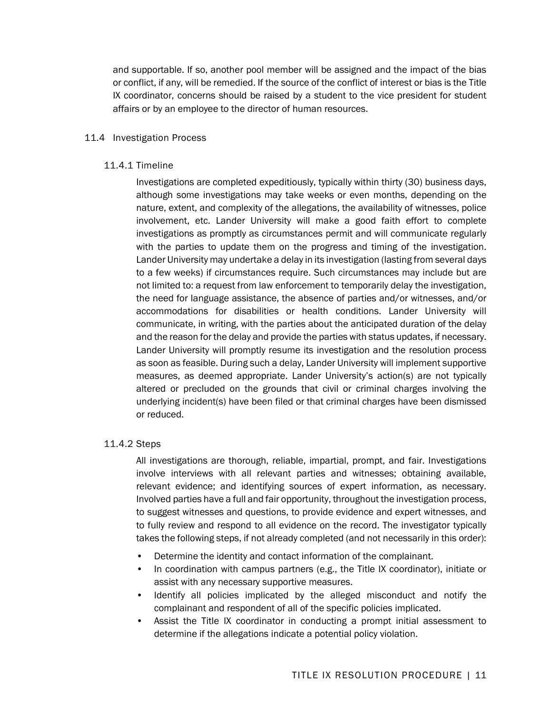and supportable. If so, another pool member will be assigned and the impact of the bias or conflict, if any, will be remedied. If the source of the conflict of interest or bias is the Title IX coordinator, concerns should be raised by a student to the vice president for student affairs or by an employee to the director of human resources.

#### 11.4 Investigation Process

#### 11.4.1 Timeline

Investigations are completed expeditiously, typically within thirty (30) business days, although some investigations may take weeks or even months, depending on the nature, extent, and complexity of the allegations, the availability of witnesses, police involvement, etc. Lander University will make a good faith effort to complete investigations as promptly as circumstances permit and will communicate regularly with the parties to update them on the progress and timing of the investigation. Lander University may undertake a delay in its investigation (lasting from several days to a few weeks) if circumstances require. Such circumstances may include but are not limited to: a request from law enforcement to temporarily delay the investigation, the need for language assistance, the absence of parties and/or witnesses, and/or accommodations for disabilities or health conditions. Lander University will communicate, in writing, with the parties about the anticipated duration of the delay and the reason for the delay and provide the parties with status updates, if necessary. Lander University will promptly resume its investigation and the resolution process as soon as feasible. During such a delay, Lander University will implement supportive measures, as deemed appropriate. Lander University's action(s) are not typically altered or precluded on the grounds that civil or criminal charges involving the underlying incident(s) have been filed or that criminal charges have been dismissed or reduced.

#### 11.4.2 Steps

All investigations are thorough, reliable, impartial, prompt, and fair. Investigations involve interviews with all relevant parties and witnesses; obtaining available, relevant evidence; and identifying sources of expert information, as necessary. Involved parties have a full and fair opportunity, throughout the investigation process, to suggest witnesses and questions, to provide evidence and expert witnesses, and to fully review and respond to all evidence on the record. The investigator typically takes the following steps, if not already completed (and not necessarily in this order):

- Determine the identity and contact information of the complainant.
- In coordination with campus partners (e.g., the Title IX coordinator), initiate or assist with any necessary supportive measures.
- Identify all policies implicated by the alleged misconduct and notify the complainant and respondent of all of the specific policies implicated.
- Assist the Title IX coordinator in conducting a prompt initial assessment to determine if the allegations indicate a potential policy violation.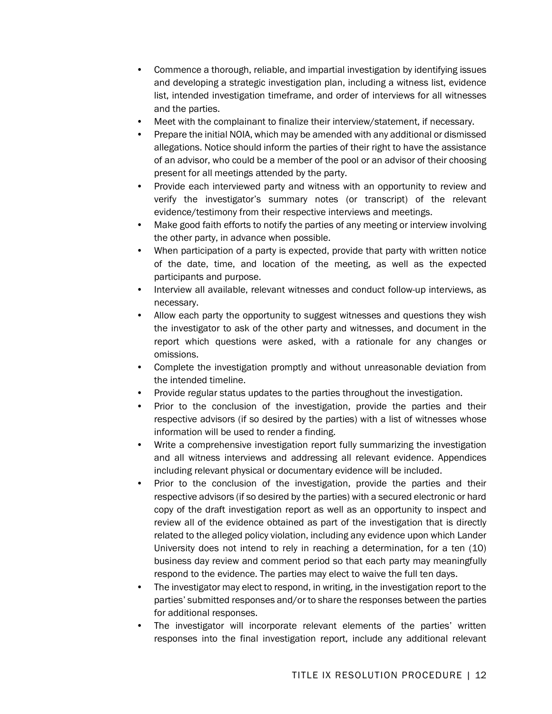- Commence a thorough, reliable, and impartial investigation by identifying issues and developing a strategic investigation plan, including a witness list, evidence list, intended investigation timeframe, and order of interviews for all witnesses and the parties.
- Meet with the complainant to finalize their interview/statement, if necessary.
- Prepare the initial NOIA, which may be amended with any additional or dismissed allegations. Notice should inform the parties of their right to have the assistance of an advisor, who could be a member of the pool or an advisor of their choosing present for all meetings attended by the party.
- Provide each interviewed party and witness with an opportunity to review and verify the investigator's summary notes (or transcript) of the relevant evidence/testimony from their respective interviews and meetings.
- Make good faith efforts to notify the parties of any meeting or interview involving the other party, in advance when possible.
- When participation of a party is expected, provide that party with written notice of the date, time, and location of the meeting, as well as the expected participants and purpose.
- Interview all available, relevant witnesses and conduct follow-up interviews, as necessary.
- Allow each party the opportunity to suggest witnesses and questions they wish the investigator to ask of the other party and witnesses, and document in the report which questions were asked, with a rationale for any changes or omissions.
- Complete the investigation promptly and without unreasonable deviation from the intended timeline.
- Provide regular status updates to the parties throughout the investigation.
- Prior to the conclusion of the investigation, provide the parties and their respective advisors (if so desired by the parties) with a list of witnesses whose information will be used to render a finding.
- Write a comprehensive investigation report fully summarizing the investigation and all witness interviews and addressing all relevant evidence. Appendices including relevant physical or documentary evidence will be included.
- Prior to the conclusion of the investigation, provide the parties and their respective advisors (if so desired by the parties) with a secured electronic or hard copy of the draft investigation report as well as an opportunity to inspect and review all of the evidence obtained as part of the investigation that is directly related to the alleged policy violation, including any evidence upon which Lander University does not intend to rely in reaching a determination, for a ten (10) business day review and comment period so that each party may meaningfully respond to the evidence. The parties may elect to waive the full ten days.
- The investigator may elect to respond, in writing, in the investigation report to the parties' submitted responses and/or to share the responses between the parties for additional responses.
- The investigator will incorporate relevant elements of the parties' written responses into the final investigation report, include any additional relevant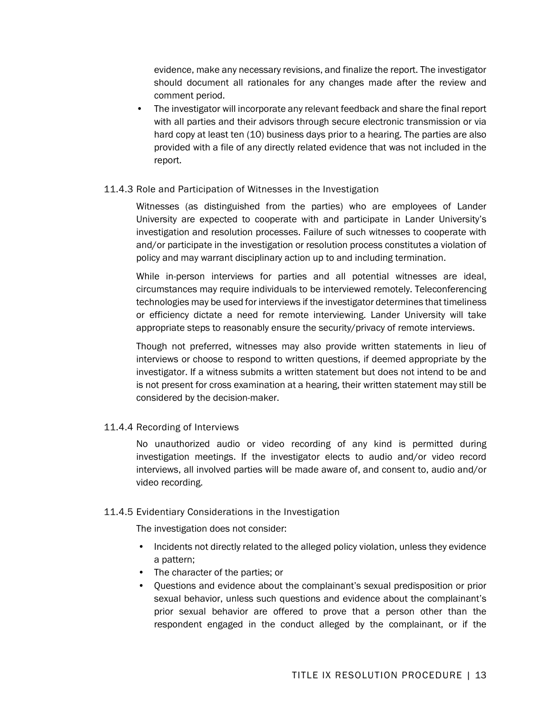evidence, make any necessary revisions, and finalize the report. The investigator should document all rationales for any changes made after the review and comment period.

• The investigator will incorporate any relevant feedback and share the final report with all parties and their advisors through secure electronic transmission or via hard copy at least ten (10) business days prior to a hearing. The parties are also provided with a file of any directly related evidence that was not included in the report.

#### 11.4.3 Role and Participation of Witnesses in the Investigation

Witnesses (as distinguished from the parties) who are employees of Lander University are expected to cooperate with and participate in Lander University's investigation and resolution processes. Failure of such witnesses to cooperate with and/or participate in the investigation or resolution process constitutes a violation of policy and may warrant disciplinary action up to and including termination.

While in-person interviews for parties and all potential witnesses are ideal, circumstances may require individuals to be interviewed remotely. Teleconferencing technologies may be used for interviews if the investigator determines that timeliness or efficiency dictate a need for remote interviewing. Lander University will take appropriate steps to reasonably ensure the security/privacy of remote interviews.

Though not preferred, witnesses may also provide written statements in lieu of interviews or choose to respond to written questions, if deemed appropriate by the investigator. If a witness submits a written statement but does not intend to be and is not present for cross examination at a hearing, their written statement may still be considered by the decision-maker.

## 11.4.4 Recording of Interviews

No unauthorized audio or video recording of any kind is permitted during investigation meetings. If the investigator elects to audio and/or video record interviews, all involved parties will be made aware of, and consent to, audio and/or video recording.

#### 11.4.5 Evidentiary Considerations in the Investigation

The investigation does not consider:

- Incidents not directly related to the alleged policy violation, unless they evidence a pattern;
- The character of the parties; or
- Questions and evidence about the complainant's sexual predisposition or prior sexual behavior, unless such questions and evidence about the complainant's prior sexual behavior are offered to prove that a person other than the respondent engaged in the conduct alleged by the complainant, or if the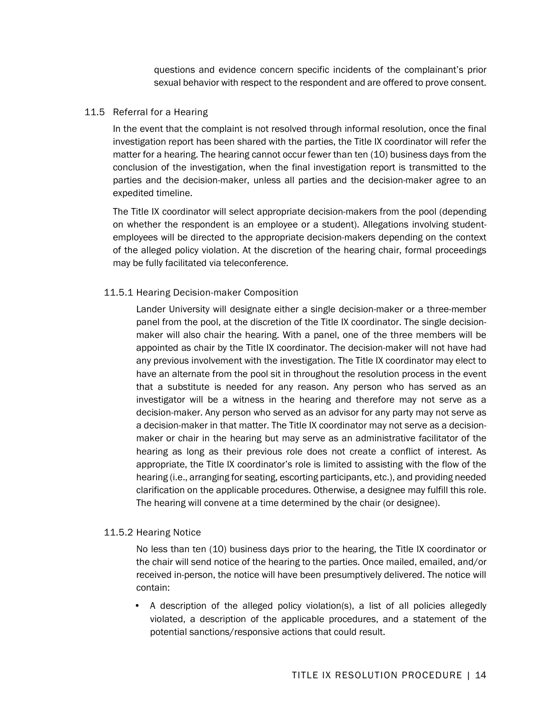questions and evidence concern specific incidents of the complainant's prior sexual behavior with respect to the respondent and are offered to prove consent.

#### 11.5 Referral for a Hearing

In the event that the complaint is not resolved through informal resolution, once the final investigation report has been shared with the parties, the Title IX coordinator will refer the matter for a hearing. The hearing cannot occur fewer than ten (10) business days from the conclusion of the investigation, when the final investigation report is transmitted to the parties and the decision-maker, unless all parties and the decision-maker agree to an expedited timeline.

The Title IX coordinator will select appropriate decision-makers from the pool (depending on whether the respondent is an employee or a student). Allegations involving studentemployees will be directed to the appropriate decision-makers depending on the context of the alleged policy violation. At the discretion of the hearing chair, formal proceedings may be fully facilitated via teleconference.

#### 11.5.1 Hearing Decision-maker Composition

Lander University will designate either a single decision-maker or a three-member panel from the pool, at the discretion of the Title IX coordinator. The single decisionmaker will also chair the hearing. With a panel, one of the three members will be appointed as chair by the Title IX coordinator. The decision-maker will not have had any previous involvement with the investigation. The Title IX coordinator may elect to have an alternate from the pool sit in throughout the resolution process in the event that a substitute is needed for any reason. Any person who has served as an investigator will be a witness in the hearing and therefore may not serve as a decision-maker. Any person who served as an advisor for any party may not serve as a decision-maker in that matter. The Title IX coordinator may not serve as a decisionmaker or chair in the hearing but may serve as an administrative facilitator of the hearing as long as their previous role does not create a conflict of interest. As appropriate, the Title IX coordinator's role is limited to assisting with the flow of the hearing (i.e., arranging for seating, escorting participants, etc.), and providing needed clarification on the applicable procedures. Otherwise, a designee may fulfill this role. The hearing will convene at a time determined by the chair (or designee).

#### 11.5.2 Hearing Notice

No less than ten (10) business days prior to the hearing, the Title IX coordinator or the chair will send notice of the hearing to the parties. Once mailed, emailed, and/or received in-person, the notice will have been presumptively delivered. The notice will contain:

• A description of the alleged policy violation(s), a list of all policies allegedly violated, a description of the applicable procedures, and a statement of the potential sanctions/responsive actions that could result.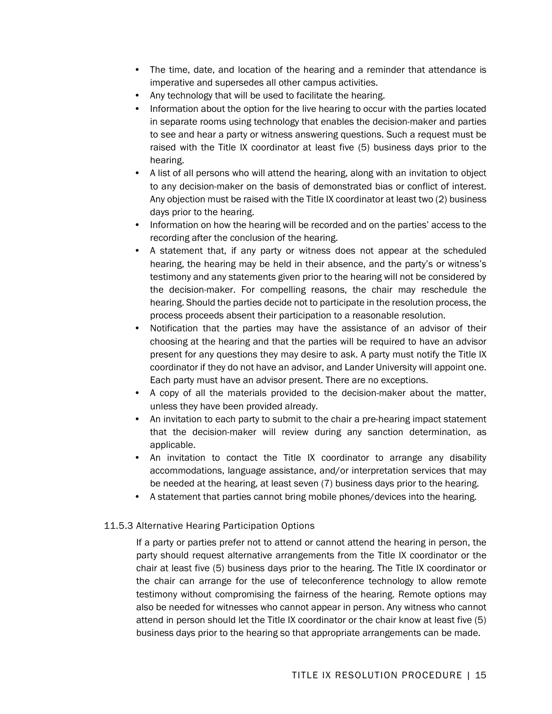- The time, date, and location of the hearing and a reminder that attendance is imperative and supersedes all other campus activities.
- Any technology that will be used to facilitate the hearing.
- Information about the option for the live hearing to occur with the parties located in separate rooms using technology that enables the decision-maker and parties to see and hear a party or witness answering questions. Such a request must be raised with the Title IX coordinator at least five (5) business days prior to the hearing.
- A list of all persons who will attend the hearing, along with an invitation to object to any decision-maker on the basis of demonstrated bias or conflict of interest. Any objection must be raised with the Title IX coordinator at least two (2) business days prior to the hearing.
- Information on how the hearing will be recorded and on the parties' access to the recording after the conclusion of the hearing.
- A statement that, if any party or witness does not appear at the scheduled hearing, the hearing may be held in their absence, and the party's or witness's testimony and any statements given prior to the hearing will not be considered by the decision-maker. For compelling reasons, the chair may reschedule the hearing. Should the parties decide not to participate in the resolution process, the process proceeds absent their participation to a reasonable resolution.
- Notification that the parties may have the assistance of an advisor of their choosing at the hearing and that the parties will be required to have an advisor present for any questions they may desire to ask. A party must notify the Title IX coordinator if they do not have an advisor, and Lander University will appoint one. Each party must have an advisor present. There are no exceptions.
- A copy of all the materials provided to the decision-maker about the matter, unless they have been provided already.
- An invitation to each party to submit to the chair a pre-hearing impact statement that the decision-maker will review during any sanction determination, as applicable.
- An invitation to contact the Title IX coordinator to arrange any disability accommodations, language assistance, and/or interpretation services that may be needed at the hearing, at least seven (7) business days prior to the hearing.
- A statement that parties cannot bring mobile phones/devices into the hearing.

#### 11.5.3 Alternative Hearing Participation Options

If a party or parties prefer not to attend or cannot attend the hearing in person, the party should request alternative arrangements from the Title IX coordinator or the chair at least five (5) business days prior to the hearing. The Title IX coordinator or the chair can arrange for the use of teleconference technology to allow remote testimony without compromising the fairness of the hearing. Remote options may also be needed for witnesses who cannot appear in person. Any witness who cannot attend in person should let the Title IX coordinator or the chair know at least five (5) business days prior to the hearing so that appropriate arrangements can be made.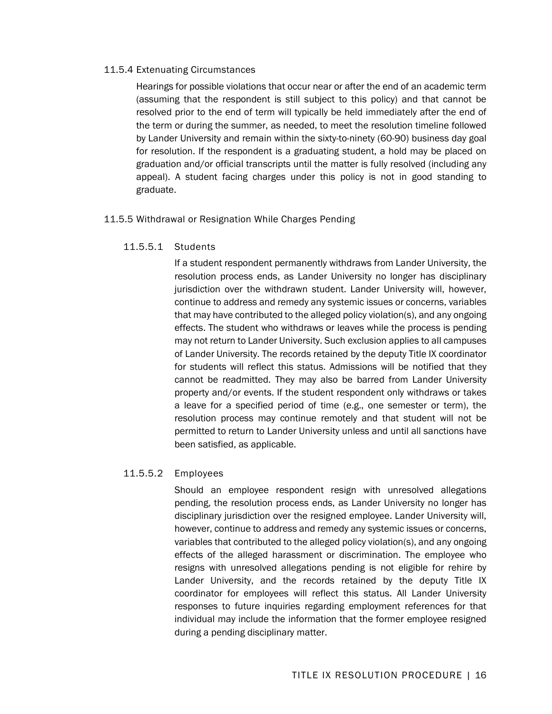#### 11.5.4 Extenuating Circumstances

Hearings for possible violations that occur near or after the end of an academic term (assuming that the respondent is still subject to this policy) and that cannot be resolved prior to the end of term will typically be held immediately after the end of the term or during the summer, as needed, to meet the resolution timeline followed by Lander University and remain within the sixty-to-ninety (60-90) business day goal for resolution. If the respondent is a graduating student, a hold may be placed on graduation and/or official transcripts until the matter is fully resolved (including any appeal). A student facing charges under this policy is not in good standing to graduate.

#### 11.5.5 Withdrawal or Resignation While Charges Pending

#### 11.5.5.1 Students

If a student respondent permanently withdraws from Lander University, the resolution process ends, as Lander University no longer has disciplinary jurisdiction over the withdrawn student. Lander University will, however, continue to address and remedy any systemic issues or concerns, variables that may have contributed to the alleged policy violation(s), and any ongoing effects. The student who withdraws or leaves while the process is pending may not return to Lander University. Such exclusion applies to all campuses of Lander University. The records retained by the deputy Title IX coordinator for students will reflect this status. Admissions will be notified that they cannot be readmitted. They may also be barred from Lander University property and/or events. If the student respondent only withdraws or takes a leave for a specified period of time (e.g., one semester or term), the resolution process may continue remotely and that student will not be permitted to return to Lander University unless and until all sanctions have been satisfied, as applicable.

## 11.5.5.2 Employees

Should an employee respondent resign with unresolved allegations pending, the resolution process ends, as Lander University no longer has disciplinary jurisdiction over the resigned employee. Lander University will, however, continue to address and remedy any systemic issues or concerns, variables that contributed to the alleged policy violation(s), and any ongoing effects of the alleged harassment or discrimination. The employee who resigns with unresolved allegations pending is not eligible for rehire by Lander University, and the records retained by the deputy Title IX coordinator for employees will reflect this status. All Lander University responses to future inquiries regarding employment references for that individual may include the information that the former employee resigned during a pending disciplinary matter.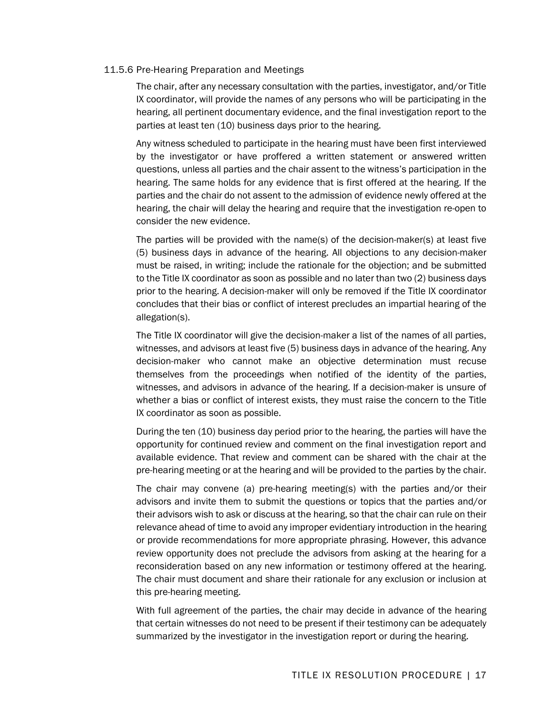#### 11.5.6 Pre-Hearing Preparation and Meetings

The chair, after any necessary consultation with the parties, investigator, and/or Title IX coordinator, will provide the names of any persons who will be participating in the hearing, all pertinent documentary evidence, and the final investigation report to the parties at least ten (10) business days prior to the hearing.

Any witness scheduled to participate in the hearing must have been first interviewed by the investigator or have proffered a written statement or answered written questions, unless all parties and the chair assent to the witness's participation in the hearing. The same holds for any evidence that is first offered at the hearing. If the parties and the chair do not assent to the admission of evidence newly offered at the hearing, the chair will delay the hearing and require that the investigation re-open to consider the new evidence.

The parties will be provided with the name(s) of the decision-maker(s) at least five (5) business days in advance of the hearing. All objections to any decision-maker must be raised, in writing; include the rationale for the objection; and be submitted to the Title IX coordinator as soon as possible and no later than two (2) business days prior to the hearing. A decision-maker will only be removed if the Title IX coordinator concludes that their bias or conflict of interest precludes an impartial hearing of the allegation(s).

The Title IX coordinator will give the decision-maker a list of the names of all parties, witnesses, and advisors at least five (5) business days in advance of the hearing. Any decision-maker who cannot make an objective determination must recuse themselves from the proceedings when notified of the identity of the parties, witnesses, and advisors in advance of the hearing. If a decision-maker is unsure of whether a bias or conflict of interest exists, they must raise the concern to the Title IX coordinator as soon as possible.

During the ten (10) business day period prior to the hearing, the parties will have the opportunity for continued review and comment on the final investigation report and available evidence. That review and comment can be shared with the chair at the pre-hearing meeting or at the hearing and will be provided to the parties by the chair.

The chair may convene (a) pre-hearing meeting(s) with the parties and/or their advisors and invite them to submit the questions or topics that the parties and/or their advisors wish to ask or discuss at the hearing, so that the chair can rule on their relevance ahead of time to avoid any improper evidentiary introduction in the hearing or provide recommendations for more appropriate phrasing. However, this advance review opportunity does not preclude the advisors from asking at the hearing for a reconsideration based on any new information or testimony offered at the hearing. The chair must document and share their rationale for any exclusion or inclusion at this pre-hearing meeting.

With full agreement of the parties, the chair may decide in advance of the hearing that certain witnesses do not need to be present if their testimony can be adequately summarized by the investigator in the investigation report or during the hearing.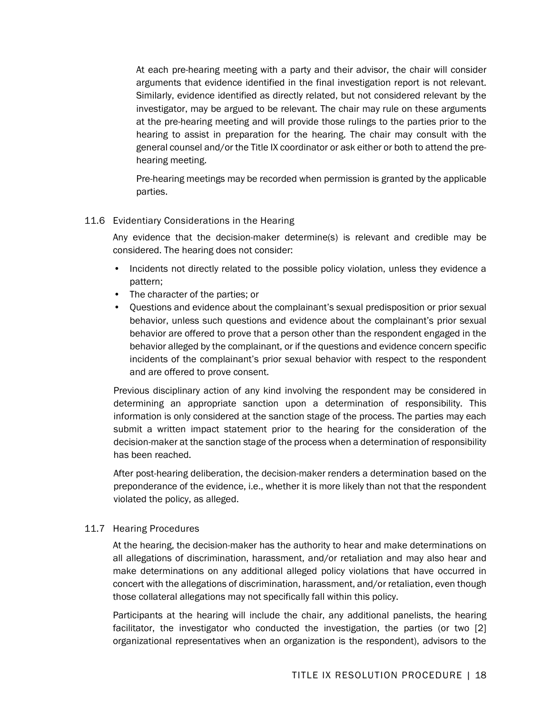At each pre-hearing meeting with a party and their advisor, the chair will consider arguments that evidence identified in the final investigation report is not relevant. Similarly, evidence identified as directly related, but not considered relevant by the investigator, may be argued to be relevant. The chair may rule on these arguments at the pre-hearing meeting and will provide those rulings to the parties prior to the hearing to assist in preparation for the hearing. The chair may consult with the general counsel and/or the Title IX coordinator or ask either or both to attend the prehearing meeting.

Pre-hearing meetings may be recorded when permission is granted by the applicable parties.

#### 11.6 Evidentiary Considerations in the Hearing

Any evidence that the decision-maker determine(s) is relevant and credible may be considered. The hearing does not consider:

- Incidents not directly related to the possible policy violation, unless they evidence a pattern;
- The character of the parties; or
- Questions and evidence about the complainant's sexual predisposition or prior sexual behavior, unless such questions and evidence about the complainant's prior sexual behavior are offered to prove that a person other than the respondent engaged in the behavior alleged by the complainant, or if the questions and evidence concern specific incidents of the complainant's prior sexual behavior with respect to the respondent and are offered to prove consent.

Previous disciplinary action of any kind involving the respondent may be considered in determining an appropriate sanction upon a determination of responsibility. This information is only considered at the sanction stage of the process. The parties may each submit a written impact statement prior to the hearing for the consideration of the decision-maker at the sanction stage of the process when a determination of responsibility has been reached.

After post-hearing deliberation, the decision-maker renders a determination based on the preponderance of the evidence, i.e., whether it is more likely than not that the respondent violated the policy, as alleged.

## 11.7 Hearing Procedures

At the hearing, the decision-maker has the authority to hear and make determinations on all allegations of discrimination, harassment, and/or retaliation and may also hear and make determinations on any additional alleged policy violations that have occurred in concert with the allegations of discrimination, harassment, and/or retaliation, even though those collateral allegations may not specifically fall within this policy.

Participants at the hearing will include the chair, any additional panelists, the hearing facilitator, the investigator who conducted the investigation, the parties (or two [2] organizational representatives when an organization is the respondent), advisors to the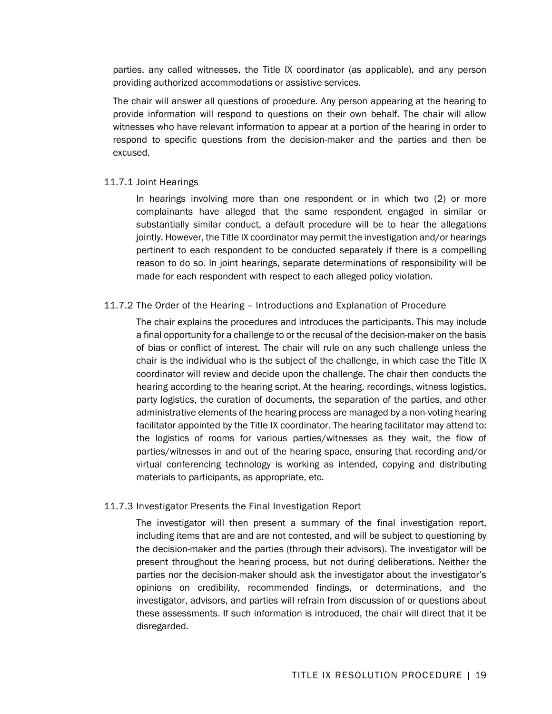parties, any called witnesses, the Title IX coordinator (as applicable), and any person providing authorized accommodations or assistive services.

The chair will answer all questions of procedure. Any person appearing at the hearing to provide information will respond to questions on their own behalf. The chair will allow witnesses who have relevant information to appear at a portion of the hearing in order to respond to specific questions from the decision-maker and the parties and then be excused.

#### 11.7.1 Joint Hearings

In hearings involving more than one respondent or in which two (2) or more complainants have alleged that the same respondent engaged in similar or substantially similar conduct, a default procedure will be to hear the allegations jointly. However, the Title IX coordinator may permit the investigation and/or hearings pertinent to each respondent to be conducted separately if there is a compelling reason to do so. In joint hearings, separate determinations of responsibility will be made for each respondent with respect to each alleged policy violation.

#### 11.7.2 The Order of the Hearing – Introductions and Explanation of Procedure

The chair explains the procedures and introduces the participants. This may include a final opportunity for a challenge to or the recusal of the decision-maker on the basis of bias or conflict of interest. The chair will rule on any such challenge unless the chair is the individual who is the subject of the challenge, in which case the Title IX coordinator will review and decide upon the challenge. The chair then conducts the hearing according to the hearing script. At the hearing, recordings, witness logistics, party logistics, the curation of documents, the separation of the parties, and other administrative elements of the hearing process are managed by a non-voting hearing facilitator appointed by the Title IX coordinator. The hearing facilitator may attend to: the logistics of rooms for various parties/witnesses as they wait, the flow of parties/witnesses in and out of the hearing space, ensuring that recording and/or virtual conferencing technology is working as intended, copying and distributing materials to participants, as appropriate, etc.

#### 11.7.3 Investigator Presents the Final Investigation Report

The investigator will then present a summary of the final investigation report, including items that are and are not contested, and will be subject to questioning by the decision-maker and the parties (through their advisors). The investigator will be present throughout the hearing process, but not during deliberations. Neither the parties nor the decision-maker should ask the investigator about the investigator's opinions on credibility, recommended findings, or determinations, and the investigator, advisors, and parties will refrain from discussion of or questions about these assessments. If such information is introduced, the chair will direct that it be disregarded.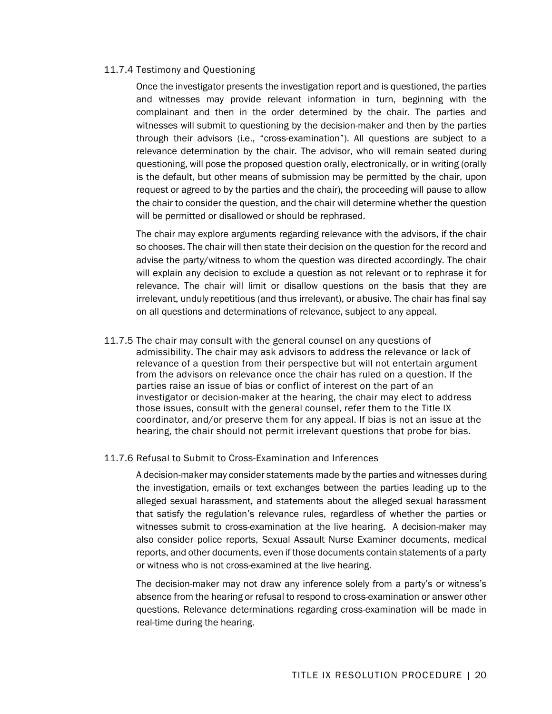#### 11.7.4 Testimony and Questioning

Once the investigator presents the investigation report and is questioned, the parties and witnesses may provide relevant information in turn, beginning with the complainant and then in the order determined by the chair. The parties and witnesses will submit to questioning by the decision-maker and then by the parties through their advisors (i.e., "cross-examination"). All questions are subject to a relevance determination by the chair. The advisor, who will remain seated during questioning, will pose the proposed question orally, electronically, or in writing (orally is the default, but other means of submission may be permitted by the chair, upon request or agreed to by the parties and the chair), the proceeding will pause to allow the chair to consider the question, and the chair will determine whether the question will be permitted or disallowed or should be rephrased.

The chair may explore arguments regarding relevance with the advisors, if the chair so chooses. The chair will then state their decision on the question for the record and advise the party/witness to whom the question was directed accordingly. The chair will explain any decision to exclude a question as not relevant or to rephrase it for relevance. The chair will limit or disallow questions on the basis that they are irrelevant, unduly repetitious (and thus irrelevant), or abusive. The chair has final say on all questions and determinations of relevance, subject to any appeal.

11.7.5 The chair may consult with the general counsel on any questions of admissibility. The chair may ask advisors to address the relevance or lack of relevance of a question from their perspective but will not entertain argument from the advisors on relevance once the chair has ruled on a question. If the parties raise an issue of bias or conflict of interest on the part of an investigator or decision-maker at the hearing, the chair may elect to address those issues, consult with the general counsel, refer them to the Title IX coordinator, and/or preserve them for any appeal. If bias is not an issue at the hearing, the chair should not permit irrelevant questions that probe for bias.

#### 11.7.6 Refusal to Submit to Cross-Examination and Inferences

A decision-maker may consider statements made by the parties and witnesses during the investigation, emails or text exchanges between the parties leading up to the alleged sexual harassment, and statements about the alleged sexual harassment that satisfy the regulation's relevance rules, regardless of whether the parties or witnesses submit to cross-examination at the live hearing. A decision-maker may also consider police reports, Sexual Assault Nurse Examiner documents, medical reports, and other documents, even if those documents contain statements of a party or witness who is not cross-examined at the live hearing.

The decision-maker may not draw any inference solely from a party's or witness's absence from the hearing or refusal to respond to cross-examination or answer other questions. Relevance determinations regarding cross-examination will be made in real-time during the hearing.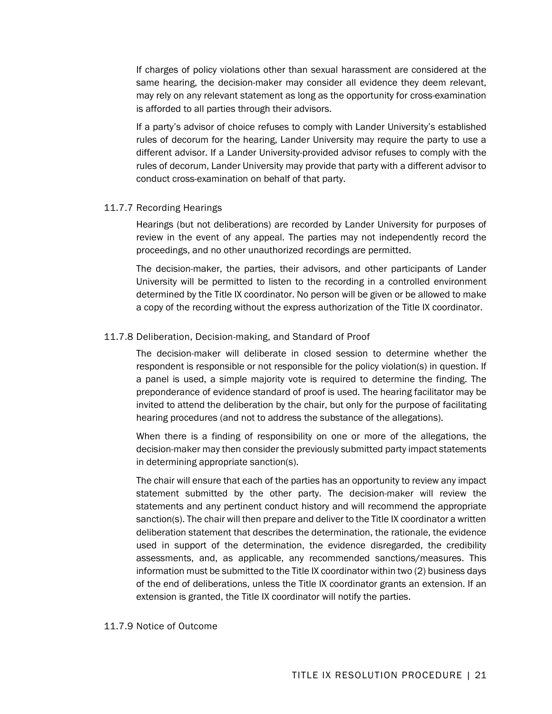If charges of policy violations other than sexual harassment are considered at the same hearing, the decision-maker may consider all evidence they deem relevant, may rely on any relevant statement as long as the opportunity for cross-examination is afforded to all parties through their advisors.

If a party's advisor of choice refuses to comply with Lander University's established rules of decorum for the hearing, Lander University may require the party to use a different advisor. If a Lander University-provided advisor refuses to comply with the rules of decorum, Lander University may provide that party with a different advisor to conduct cross-examination on behalf of that party.

#### 11.7.7 Recording Hearings

Hearings (but not deliberations) are recorded by Lander University for purposes of review in the event of any appeal. The parties may not independently record the proceedings, and no other unauthorized recordings are permitted.

The decision-maker, the parties, their advisors, and other participants of Lander University will be permitted to listen to the recording in a controlled environment determined by the Title IX coordinator. No person will be given or be allowed to make a copy of the recording without the express authorization of the Title IX coordinator.

#### 11.7.8 Deliberation, Decision-making, and Standard of Proof

The decision-maker will deliberate in closed session to determine whether the respondent is responsible or not responsible for the policy violation(s) in question. If a panel is used, a simple majority vote is required to determine the finding. The preponderance of evidence standard of proof is used. The hearing facilitator may be invited to attend the deliberation by the chair, but only for the purpose of facilitating hearing procedures (and not to address the substance of the allegations).

When there is a finding of responsibility on one or more of the allegations, the decision-maker may then consider the previously submitted party impact statements in determining appropriate sanction(s).

The chair will ensure that each of the parties has an opportunity to review any impact statement submitted by the other party. The decision-maker will review the statements and any pertinent conduct history and will recommend the appropriate sanction(s). The chair will then prepare and deliver to the Title IX coordinator a written deliberation statement that describes the determination, the rationale, the evidence used in support of the determination, the evidence disregarded, the credibility assessments, and, as applicable, any recommended sanctions/measures. This information must be submitted to the Title IX coordinator within two (2) business days of the end of deliberations, unless the Title IX coordinator grants an extension. If an extension is granted, the Title IX coordinator will notify the parties.

#### 11.7.9 Notice of Outcome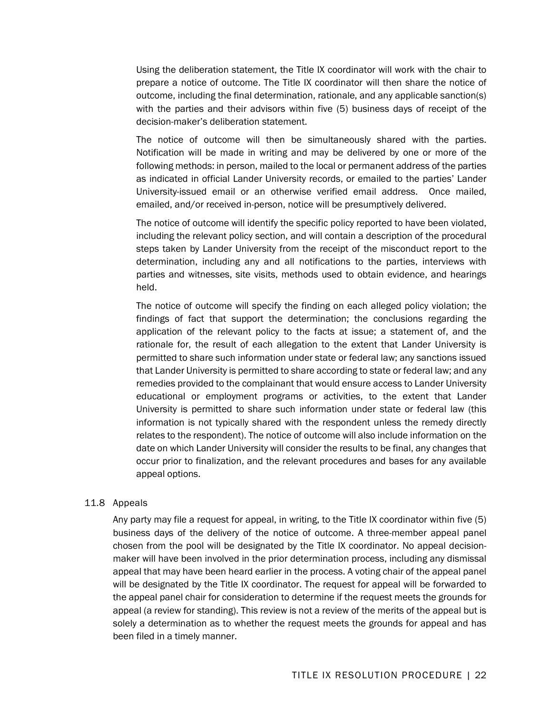Using the deliberation statement, the Title IX coordinator will work with the chair to prepare a notice of outcome. The Title IX coordinator will then share the notice of outcome, including the final determination, rationale, and any applicable sanction(s) with the parties and their advisors within five (5) business days of receipt of the decision-maker's deliberation statement.

The notice of outcome will then be simultaneously shared with the parties. Notification will be made in writing and may be delivered by one or more of the following methods: in person, mailed to the local or permanent address of the parties as indicated in official Lander University records, or emailed to the parties' Lander University-issued email or an otherwise verified email address. Once mailed, emailed, and/or received in-person, notice will be presumptively delivered.

The notice of outcome will identify the specific policy reported to have been violated, including the relevant policy section, and will contain a description of the procedural steps taken by Lander University from the receipt of the misconduct report to the determination, including any and all notifications to the parties, interviews with parties and witnesses, site visits, methods used to obtain evidence, and hearings held.

The notice of outcome will specify the finding on each alleged policy violation; the findings of fact that support the determination; the conclusions regarding the application of the relevant policy to the facts at issue; a statement of, and the rationale for, the result of each allegation to the extent that Lander University is permitted to share such information under state or federal law; any sanctions issued that Lander University is permitted to share according to state or federal law; and any remedies provided to the complainant that would ensure access to Lander University educational or employment programs or activities, to the extent that Lander University is permitted to share such information under state or federal law (this information is not typically shared with the respondent unless the remedy directly relates to the respondent). The notice of outcome will also include information on the date on which Lander University will consider the results to be final, any changes that occur prior to finalization, and the relevant procedures and bases for any available appeal options.

#### 11.8 Appeals

Any party may file a request for appeal, in writing, to the Title IX coordinator within five (5) business days of the delivery of the notice of outcome. A three-member appeal panel chosen from the pool will be designated by the Title IX coordinator. No appeal decisionmaker will have been involved in the prior determination process, including any dismissal appeal that may have been heard earlier in the process. A voting chair of the appeal panel will be designated by the Title IX coordinator. The request for appeal will be forwarded to the appeal panel chair for consideration to determine if the request meets the grounds for appeal (a review for standing). This review is not a review of the merits of the appeal but is solely a determination as to whether the request meets the grounds for appeal and has been filed in a timely manner.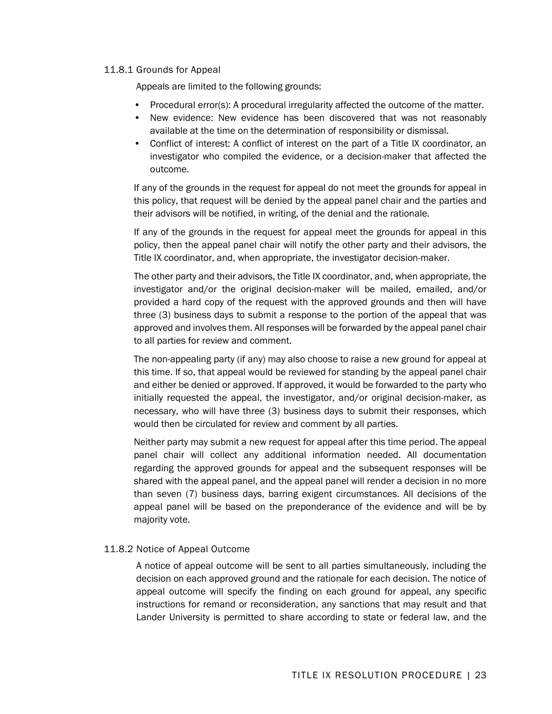#### 11.8.1 Grounds for Appeal

Appeals are limited to the following grounds:

- Procedural error(s): A procedural irregularity affected the outcome of the matter.
- New evidence: New evidence has been discovered that was not reasonably available at the time on the determination of responsibility or dismissal.
- Conflict of interest: A conflict of interest on the part of a Title IX coordinator, an investigator who compiled the evidence, or a decision-maker that affected the outcome.

If any of the grounds in the request for appeal do not meet the grounds for appeal in this policy, that request will be denied by the appeal panel chair and the parties and their advisors will be notified, in writing, of the denial and the rationale.

If any of the grounds in the request for appeal meet the grounds for appeal in this policy, then the appeal panel chair will notify the other party and their advisors, the Title IX coordinator, and, when appropriate, the investigator decision-maker.

The other party and their advisors, the Title IX coordinator, and, when appropriate, the investigator and/or the original decision-maker will be mailed, emailed, and/or provided a hard copy of the request with the approved grounds and then will have three (3) business days to submit a response to the portion of the appeal that was approved and involves them. All responses will be forwarded by the appeal panel chair to all parties for review and comment.

The non-appealing party (if any) may also choose to raise a new ground for appeal at this time. If so, that appeal would be reviewed for standing by the appeal panel chair and either be denied or approved. If approved, it would be forwarded to the party who initially requested the appeal, the investigator, and/or original decision-maker, as necessary, who will have three (3) business days to submit their responses, which would then be circulated for review and comment by all parties.

Neither party may submit a new request for appeal after this time period. The appeal panel chair will collect any additional information needed. All documentation regarding the approved grounds for appeal and the subsequent responses will be shared with the appeal panel, and the appeal panel will render a decision in no more than seven (7) business days, barring exigent circumstances. All decisions of the appeal panel will be based on the preponderance of the evidence and will be by majority vote.

#### 11.8.2 Notice of Appeal Outcome

A notice of appeal outcome will be sent to all parties simultaneously, including the decision on each approved ground and the rationale for each decision. The notice of appeal outcome will specify the finding on each ground for appeal, any specific instructions for remand or reconsideration, any sanctions that may result and that Lander University is permitted to share according to state or federal law, and the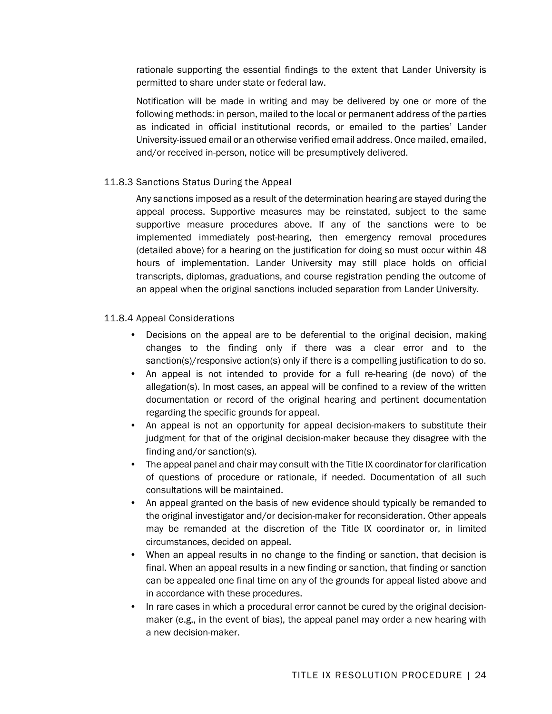rationale supporting the essential findings to the extent that Lander University is permitted to share under state or federal law.

Notification will be made in writing and may be delivered by one or more of the following methods: in person, mailed to the local or permanent address of the parties as indicated in official institutional records, or emailed to the parties' Lander University-issued email or an otherwise verified email address. Once mailed, emailed, and/or received in-person, notice will be presumptively delivered.

## 11.8.3 Sanctions Status During the Appeal

Any sanctions imposed as a result of the determination hearing are stayed during the appeal process. Supportive measures may be reinstated, subject to the same supportive measure procedures above. If any of the sanctions were to be implemented immediately post-hearing, then emergency removal procedures (detailed above) for a hearing on the justification for doing so must occur within 48 hours of implementation. Lander University may still place holds on official transcripts, diplomas, graduations, and course registration pending the outcome of an appeal when the original sanctions included separation from Lander University.

#### 11.8.4 Appeal Considerations

- Decisions on the appeal are to be deferential to the original decision, making changes to the finding only if there was a clear error and to the sanction(s)/responsive action(s) only if there is a compelling justification to do so.
- An appeal is not intended to provide for a full re-hearing (de novo) of the allegation(s). In most cases, an appeal will be confined to a review of the written documentation or record of the original hearing and pertinent documentation regarding the specific grounds for appeal.
- An appeal is not an opportunity for appeal decision-makers to substitute their judgment for that of the original decision-maker because they disagree with the finding and/or sanction(s).
- The appeal panel and chair may consult with the Title IX coordinator for clarification of questions of procedure or rationale, if needed. Documentation of all such consultations will be maintained.
- An appeal granted on the basis of new evidence should typically be remanded to the original investigator and/or decision-maker for reconsideration. Other appeals may be remanded at the discretion of the Title IX coordinator or, in limited circumstances, decided on appeal.
- When an appeal results in no change to the finding or sanction, that decision is final. When an appeal results in a new finding or sanction, that finding or sanction can be appealed one final time on any of the grounds for appeal listed above and in accordance with these procedures.
- In rare cases in which a procedural error cannot be cured by the original decisionmaker (e.g., in the event of bias), the appeal panel may order a new hearing with a new decision-maker.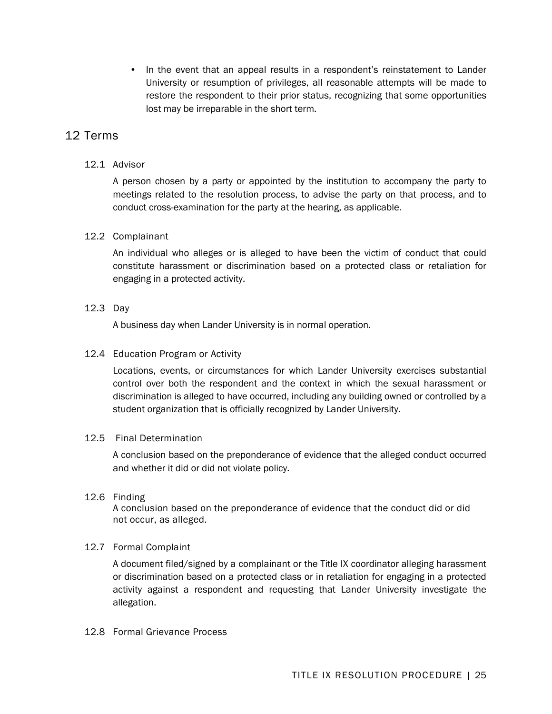• In the event that an appeal results in a respondent's reinstatement to Lander University or resumption of privileges, all reasonable attempts will be made to restore the respondent to their prior status, recognizing that some opportunities lost may be irreparable in the short term.

# 12 Terms

## 12.1 Advisor

A person chosen by a party or appointed by the institution to accompany the party to meetings related to the resolution process, to advise the party on that process, and to conduct cross-examination for the party at the hearing, as applicable.

#### 12.2 Complainant

An individual who alleges or is alleged to have been the victim of conduct that could constitute harassment or discrimination based on a protected class or retaliation for engaging in a protected activity.

#### 12.3 Day

A business day when Lander University is in normal operation.

#### 12.4 Education Program or Activity

Locations, events, or circumstances for which Lander University exercises substantial control over both the respondent and the context in which the sexual harassment or discrimination is alleged to have occurred, including any building owned or controlled by a student organization that is officially recognized by Lander University.

#### 12.5 Final Determination

A conclusion based on the preponderance of evidence that the alleged conduct occurred and whether it did or did not violate policy.

#### 12.6 Finding

A conclusion based on the preponderance of evidence that the conduct did or did not occur, as alleged.

#### 12.7 Formal Complaint

A document filed/signed by a complainant or the Title IX coordinator alleging harassment or discrimination based on a protected class or in retaliation for engaging in a protected activity against a respondent and requesting that Lander University investigate the allegation.

#### 12.8 Formal Grievance Process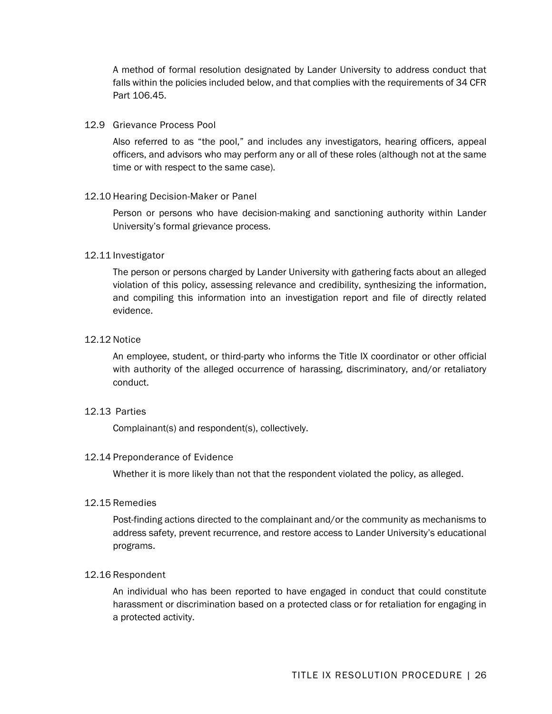A method of formal resolution designated by Lander University to address conduct that falls within the policies included below, and that complies with the requirements of 34 CFR Part 106.45.

#### 12.9 Grievance Process Pool

Also referred to as "the pool," and includes any investigators, hearing officers, appeal officers, and advisors who may perform any or all of these roles (although not at the same time or with respect to the same case).

#### 12.10 Hearing Decision-Maker or Panel

Person or persons who have decision-making and sanctioning authority within Lander University's formal grievance process.

#### 12.11 Investigator

The person or persons charged by Lander University with gathering facts about an alleged violation of this policy, assessing relevance and credibility, synthesizing the information, and compiling this information into an investigation report and file of directly related evidence.

#### 12.12 Notice

An employee, student, or third-party who informs the Title IX coordinator or other official with authority of the alleged occurrence of harassing, discriminatory, and/or retaliatory conduct.

#### 12.13 Parties

Complainant(s) and respondent(s), collectively.

#### 12.14 Preponderance of Evidence

Whether it is more likely than not that the respondent violated the policy, as alleged.

#### 12.15 Remedies

Post-finding actions directed to the complainant and/or the community as mechanisms to address safety, prevent recurrence, and restore access to Lander University's educational programs.

#### 12.16 Respondent

An individual who has been reported to have engaged in conduct that could constitute harassment or discrimination based on a protected class or for retaliation for engaging in a protected activity.